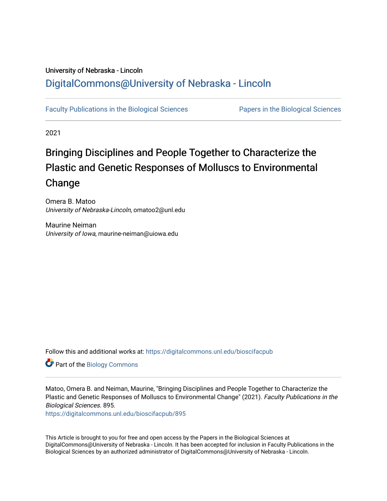### University of Nebraska - Lincoln [DigitalCommons@University of Nebraska - Lincoln](https://digitalcommons.unl.edu/)

[Faculty Publications in the Biological Sciences](https://digitalcommons.unl.edu/bioscifacpub) [Papers in the Biological Sciences](https://digitalcommons.unl.edu/bioscipapers) 

2021

# Bringing Disciplines and People Together to Characterize the Plastic and Genetic Responses of Molluscs to Environmental Change

Omera B. Matoo University of Nebraska-Lincoln, omatoo2@unl.edu

Maurine Neiman University of Iowa, maurine-neiman@uiowa.edu

Follow this and additional works at: [https://digitalcommons.unl.edu/bioscifacpub](https://digitalcommons.unl.edu/bioscifacpub?utm_source=digitalcommons.unl.edu%2Fbioscifacpub%2F895&utm_medium=PDF&utm_campaign=PDFCoverPages) 

Part of the [Biology Commons](http://network.bepress.com/hgg/discipline/41?utm_source=digitalcommons.unl.edu%2Fbioscifacpub%2F895&utm_medium=PDF&utm_campaign=PDFCoverPages) 

Matoo, Omera B. and Neiman, Maurine, "Bringing Disciplines and People Together to Characterize the Plastic and Genetic Responses of Molluscs to Environmental Change" (2021). Faculty Publications in the Biological Sciences. 895.

[https://digitalcommons.unl.edu/bioscifacpub/895](https://digitalcommons.unl.edu/bioscifacpub/895?utm_source=digitalcommons.unl.edu%2Fbioscifacpub%2F895&utm_medium=PDF&utm_campaign=PDFCoverPages) 

This Article is brought to you for free and open access by the Papers in the Biological Sciences at DigitalCommons@University of Nebraska - Lincoln. It has been accepted for inclusion in Faculty Publications in the Biological Sciences by an authorized administrator of DigitalCommons@University of Nebraska - Lincoln.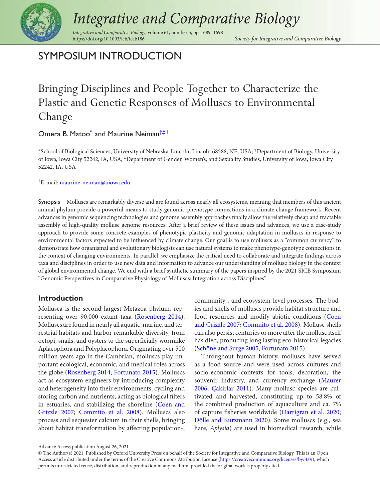

# *Integrative and Comparative Biology*

*Integrative and Comparative Biology*, volume 61, number 5, pp. 1689–1698

<span id="page-1-1"></span>Society for Integrative and Comparative Biology

### SYMPOSIUM INTRODUCTION

## Bringing Disciplines and People Together to Characterize the Plastic and Genetic Responses of Molluscs to Environmental Change

#### Omera B. Matoo<sup>\*</sup> and Maurine Neiman<sup>†‡[,1](#page-1-3)</sup>

<span id="page-1-2"></span><span id="page-1-0"></span><sup>∗</sup>School of Biological Sciences, University of Nebraska-Lincoln, Lincoln 68588, NE, USA; †Department of Biology, University of Iowa, Iowa City 52242, IA, USA; ‡Department of Gender, Women's, and Sexuality Studies, University of Iowa, Iowa City 52242, IA, USA

<span id="page-1-3"></span>1E-mail: [maurine-neiman@uiowa.edu](mailto:maurine-neiman@uiowa.edu)

Synopsis Molluscs are remarkably diverse and are found across nearly all ecosystems, meaning that members of this ancient animal phylum provide a powerful means to study genomic-phenotype connections in a climate change framework. Recent advances in genomic sequencing technologies and genome assembly approaches finally allow the relatively cheap and tractable assembly of high-quality mollusc genome resources. After a brief review of these issues and advances, we use a case-study approach to provide some concrete examples of phenotypic plasticity and genomic adaptation in molluscs in response to environmental factors expected to be influenced by climate change. Our goal is to use molluscs as a "common currency" to demonstrate how organismal and evolutionary biologists can use natural systems to make phenotype-genotype connections in the context of changing environments. In parallel, we emphasize the critical need to collaborate and integrate findings across taxa and disciplines in order to use new data and information to advance our understanding of mollusc biology in the context of global environmental change. We end with a brief synthetic summary of the papers inspired by the 2021 SICB Symposium "Genomic Perspectives in Comparative Physiology of Molluscs: Integration across Disciplines".

#### **Introduction**

Mollusca is the second largest Metazoa phylum, representing over 90,000 extant taxa [\(Rosenberg 2014\)](#page-10-0). Molluscs are found in nearly all aquatic, marine, and terrestrial habitats and harbor remarkable diversity, from octopi, snails, and oysters to the superficially wormlike Aplacophora and Polyplacophora. Originating over 500 million years ago in the Cambrian, molluscs play important ecological, economic, and medical roles across the globe [\(Rosenberg 2014;](#page-10-0) [Fortunato 2015\)](#page-9-0). Molluscs act as ecosystem engineers by introducing complexity and heterogeneity into their environments, cycling and storing carbon and nutrients, acting as biological filters [in estuaries, and stabilizing the shoreline \(Coen and](#page-8-0) Grizzle 2007; [Commito et al. 2008\)](#page-8-1). Molluscs also process and sequester calcium in their shells, bringing about habitat transformation by affecting population-,

community-, and ecosystem-level processes. The bodies and shells of molluscs provide habitat structure and [food resources and modify abiotic conditions \(Coen](#page-8-0) and Grizzle 2007; [Commito et al. 2008\)](#page-8-1). Mollusc shells can also persist centuries or more after the mollusc itself has died, producing long lasting eco-historical legacies [\(Schöne and Surge 2005;](#page-10-1) [Fortunato 2015\)](#page-9-0).

Throughout human history, molluscs have served as a food source and were used across cultures and socio-economic contexts for tools, decoration, the [souvenir industry, and currency exchange \(Maurer](#page-9-1) 2006; [Çakirlar 2011\)](#page-8-2). Many mollusc species are cultivated and harvested, constituting up to 58.8% of the combined production of aquaculture and ca. 7% of capture fisheries worldwide [\(Darrigran et al. 2020;](#page-8-3) [Dölle and Kurzmann 2020\)](#page-8-4). Some molluscs (e.g., sea hare, *Aplysia*) are used in biomedical research, while

Advance Access publication August 26, 2021

<sup>C</sup> The Author(s) 2021. Published by Oxford University Press on behalf of the Society for Integrative and Comparative Biology. This is an Open Access article distributed under the terms of the Creative Commons Attribution License [\(https://creativecommons.org/licenses/by/4.0/\)](https://creativecommons.org/licenses/by/4.0/), which permits unrestricted reuse, distribution, and reproduction in any medium, provided the original work is properly cited.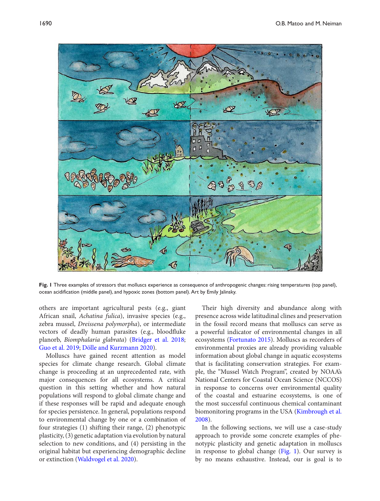<span id="page-2-0"></span>

**Fig. 1** Three examples of stressors that molluscs experience as consequence of anthropogenic changes: rising temperatures (top panel), ocean acidification (middle panel), and hypoxic zones (bottom panel). Art by Emily Jalinsky.

others are important agricultural pests (e.g., giant African snail, *Achatina fulica*), invasive species (e.g., zebra mussel, *Dreissena polymorpha*), or intermediate vectors of deadly human parasites (e.g., bloodfluke planorb, *Biomphalaria glabrata*) [\(Bridger et al. 2018;](#page-8-5) [Guo et al. 2019;](#page-9-2) [Dölle and Kurzmann 2020\)](#page-8-4).

Molluscs have gained recent attention as model species for climate change research. Global climate change is proceeding at an unprecedented rate, with major consequences for all ecosystems. A critical question in this setting whether and how natural populations will respond to global climate change and if these responses will be rapid and adequate enough for species persistence. In general, populations respond to environmental change by one or a combination of four strategies (1) shifting their range, (2) phenotypic plasticity, (3) genetic adaptation via evolution by natural selection to new conditions, and (4) persisting in the original habitat but experiencing demographic decline or extinction [\(Waldvogel et al. 2020\)](#page-10-2).

Their high diversity and abundance along with presence across wide latitudinal clines and preservation in the fossil record means that molluscs can serve as a powerful indicator of environmental changes in all ecosystems [\(Fortunato 2015\)](#page-9-0). Molluscs as recorders of environmental proxies are already providing valuable information about global change in aquatic ecosystems that is facilitating conservation strategies. For example, the "Mussel Watch Program", created by NOAA's National Centers for Coastal Ocean Science (NCCOS) in response to concerns over environmental quality of the coastal and estuarine ecosystems, is one of the most successful continuous chemical contaminant [biomonitoring programs in the USA \(Kimbrough et al.](#page-9-3) 2008).

In the following sections, we will use a case-study approach to provide some concrete examples of phenotypic plasticity and genetic adaptation in molluscs in response to global change [\(Fig. 1\)](#page-2-0). Our survey is by no means exhaustive. Instead, our is goal is to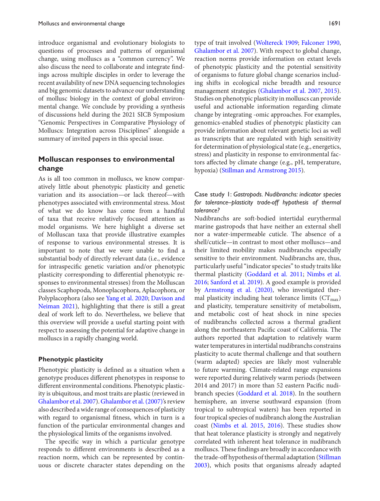introduce organismal and evolutionary biologists to questions of processes and patterns of organismal change, using molluscs as a "common currency". We also discuss the need to collaborate and integrate findings across multiple disciples in order to leverage the recent availability of new DNA sequencing technologies and big genomic datasets to advance our understanding of mollusc biology in the context of global environmental change. We conclude by providing a synthesis of discussions held during the 2021 SICB Symposium "Genomic Perspectives in Comparative Physiology of Molluscs: Integration across Disciplines" alongside a summary of invited papers in this special issue.

#### **Molluscan responses to environmental change**

As is all too common in molluscs, we know comparatively little about phenotypic plasticity and genetic variation and its association—or lack thereof—with phenotypes associated with environmental stress. Most of what we do know has come from a handful of taxa that receive relatively focused attention as model organisms. We here highlight a diverse set of Molluscan taxa that provide illustrative examples of response to various environmental stresses. It is important to note that we were unable to find a substantial body of directly relevant data (i.e., evidence for intraspecific genetic variation and/or phenotypic plasticity corresponding to differential phenotypic responses to environmental stresses) from the Molluscan classes Scaphopoda, Monoplacophora, Aplacophora, or Polyplacophora (also see [Yang et al. 2020;](#page-10-3) Davison and [Neiman 2021\), highlighting that there is still a great](#page-8-6) deal of work left to do. Nevertheless, we believe that this overview will provide a useful starting point with respect to assessing the potential for adaptive change in molluscs in a rapidly changing world.

#### **Phenotypic plasticity**

Phenotypic plasticity is defined as a situation when a genotype produces different phenotypes in response to different environmental conditions. Phenotypic plasticity is ubiquitous, and most traits are plastic (reviewed in [Ghalambor et al. 2007\)](#page-9-4). [Ghalambor et al. \(2007\)'s](#page-9-4) review also described a wide range of consequences of plasticity with regard to organismal fitness, which in turn is a function of the particular environmental changes and the physiological limits of the organisms involved.

The specific way in which a particular genotype responds to different environments is described as a reaction norm, which can be represented by continuous or discrete character states depending on the

type of trait involved [\(Woltereck 1909;](#page-10-4) [Falconer 1990,](#page-8-7) [Ghalambor et al. 2007\)](#page-9-4). With respect to global change, reaction norms provide information on extant levels of phenotypic plasticity and the potential sensitivity of organisms to future global change scenarios including shifts in ecological niche breadth and resource management strategies [\(Ghalambor et al. 2007,](#page-9-4) [2015\)](#page-9-5). Studies on phenotypic plasticity in molluscs can provide useful and actionable information regarding climate change by integrating -omic approaches. For examples, genomics-enabled studies of phenotypic plasticity can provide information about relevant genetic loci as well as transcripts that are regulated with high sensitivity for determination of physiological state (e.g., energetics, stress) and plasticity in response to environmental factors affected by climate change (e.g., pH, temperature, hypoxia) [\(Stillman and Armstrong 2015\)](#page-10-5).

#### Case study 1: *Gastropods. Nudibranchs: indicator species for tolerance–plasticity trade-off hypothesis of thermal tolerance?*

Nudibranchs are soft-bodied intertidal eurythermal marine gastropods that have neither an external shell nor a water-impermeable cuticle. The absence of a shell/cuticle—in contrast to most other molluscs—and their limited mobility makes nudibranchs especially sensitive to their environment. Nudibranchs are, thus, particularly useful "indicator species" to study traits like thermal plasticity [\(Goddard et al. 2011;](#page-9-6) Nimbs et al. 2016; [Sanford et al. 2019\). A good example is provided](#page-10-6) by [Armstrong et al. \(2020\),](#page-8-8) who investigated thermal plasticity including heat tolerance limits  $(CT<sub>max</sub>)$ and plasticity, temperature sensitivity of metabolism, and metabolic cost of heat shock in nine species of nudibranchs collected across a thermal gradient along the northeastern Pacific coast of California. The authors reported that adaptation to relatively warm water temperatures in intertidal nudibranchs constrains plasticity to acute thermal challenge and that southern (warm adapted) species are likely most vulnerable to future warming. Climate-related range expansions were reported during relatively warm periods (between 2014 and 2017) in more than 52 eastern Pacific nudibranch species [\(Goddard et al. 2018\)](#page-9-7). In the southern hemisphere, an inverse southward expansion (from tropical to subtropical waters) has been reported in four tropical species of nudibranch along the Australian coast [\(Nimbs et al. 2015,](#page-9-8) [2016\)](#page-10-6). These studies show that heat tolerance plasticity is strongly and negatively correlated with inherent heat tolerance in nudibranch molluscs. These findings are broadly in accordance with [the trade-off hypothesis of thermal adaptation \(Stillman](#page-10-8) 2003), which posits that organisms already adapted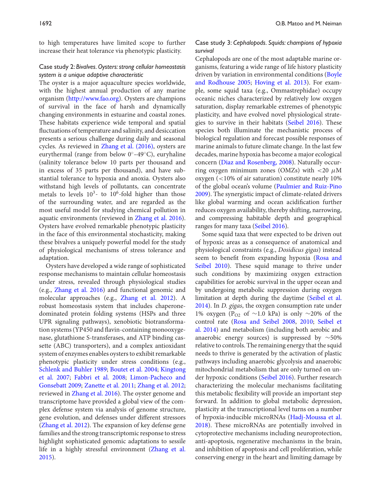to high temperatures have limited scope to further increase their heat tolerance via phenotypic plasticity.

#### Case study 2: *Bivalves. Oysters: strong cellular homeostasis system is a unique adaptive characteristic*

The oyster is a major aquaculture species worldwide, with the highest annual production of any marine organism [\(http://www.fao.org\)](http://www.fao.org). Oysters are champions of survival in the face of harsh and dynamically changing environments in estuarine and coastal zones. These habitats experience wide temporal and spatial fluctuations of temperature and salinity, and desiccation presents a serious challenge during daily and seasonal cycles. As reviewed in [Zhang et al. \(2016\),](#page-10-9) oysters are eurythermal (range from below  $0°-49°C$ ), euryhaline (salinity tolerance below 10 parts per thousand and in excess of 35 parts per thousand), and have substantial tolerance to hypoxia and anoxia. Oysters also withstand high levels of pollutants, can concentrate metals to levels  $10^3$ - to  $10^6$ -fold higher than those of the surrounding water, and are regarded as the most useful model for studying chemical pollution in aquatic environments (reviewed in [Zhang et al. 2016\)](#page-10-9). Oysters have evolved remarkable phenotypic plasticity in the face of this environmental stochasticity, making these bivalves a uniquely powerful model for the study of physiological mechanisms of stress tolerance and adaptation.

Oysters have developed a wide range of sophisticated response mechanisms to maintain cellular homeostasis under stress, revealed through physiological studies (e.g., [Zhang et al. 2016\)](#page-10-9) and functional genomic and molecular approaches (e.g., [Zhang et al. 2012\)](#page-10-10). A robust homeostasis system that includes chaperonedominated protein folding systems (HSPs and three UPR signaling pathways), xenobiotic biotransformation systems (YP450 and flavin-containing monooxygenase, glutathione S-transferases, and ATP binding cassette (ABC) transporters), and a complex antioxidant system of enzymes enables oysters to exhibit remarkable phenotypic plasticity under stress conditions (e.g., [Schlenk and Buhler 1989](#page-10-11)[;](#page-9-9) [Boutet et al. 2004;](#page-8-9) Kingtong et al. 2007; [Fabbri et al. 2008;](#page-8-10) [Limon-Pacheco and](#page-9-10) Gonsebatt 2009; [Zanette et al. 2011;](#page-10-12) [Zhang et al. 2012;](#page-10-10) reviewed in [Zhang et al. 2016\)](#page-10-9). The oyster genome and transcriptome have provided a global view of the complex defense system via analysis of genome structure, gene evolution, and defenses under different stressors [\(Zhang et al. 2012\)](#page-10-10). The expansion of key defense gene families and the strong transcriptomic response to stress highlight sophisticated genomic adaptations to sessile [life in a highly stressful environment \(Zhang et al.](#page-10-13) 2015).

#### Case study 3: *Cephalopods. Squids: champions of hypoxia survival*

Cephalopods are one of the most adaptable marine organisms, featuring a wide range of life history plasticity [driven by variation in environmental conditions \(Boyle](#page-8-11) and Rodhouse 2005; [Hoving et al. 2013\)](#page-9-11). For example, some squid taxa (e.g., Ommastrephidae) occupy oceanic niches characterized by relatively low oxygen saturation, display remarkable extremes of phenotypic plasticity, and have evolved novel physiological strategies to survive in their habitats [\(Seibel 2016\)](#page-10-14). These species both illuminate the mechanistic process of biological regulation and forecast possible responses of marine animals to future climate change. In the last few decades, marine hypoxia has become a major ecological concern [\(Diaz and Rosenberg, 2008\)](#page-8-12). Naturally occurring oxygen minimum zones (OMZs) with  $\langle 20 \mu M$ oxygen (<10% of air saturation) constitute nearly 10% of the global ocean's volume (Paulmier and Ruiz-Pino [2009\). The synergistic impact of climate-related drivers](#page-10-15) like global warming and ocean acidification further reduces oxygen availability, thereby shifting, narrowing, and compressing habitable depth and geographical ranges for many taxa [\(Seibel 2016\)](#page-10-14).

Some squid taxa that were expected to be driven out of hypoxic areas as a consequence of anatomical and physiological constraints (e.g., *Dosidicus gigas*) instead [seem to benefit from expanding hypoxia \(Rosa and](#page-10-16) Seibel 2010). These squid manage to thrive under such conditions by maximizing oxygen extraction capabilities for aerobic survival in the upper ocean and by undergoing metabolic suppression during oxygen [limitation at depth during the daytime \(Seibel et al.](#page-10-17) 2014). In *D. gigas*, the oxygen consumption rate under 1% oxygen (P<sub>O2</sub> of ∼1.0 kPa) is only ∼20% of the control rate [\(Rosa and Seibel 2008,](#page-10-18) [2010;](#page-10-16) Seibel et [al. 2014\) and metabolism \(including both aerobic and](#page-10-17) anaerobic energy sources) is suppressed by ∼50% relative to controls. The remaining energy that the squid needs to thrive is generated by the activation of plastic pathways including anaerobic glycolysis and anaerobic mitochondrial metabolism that are only turned on under hypoxic conditions [\(Seibel 2016\)](#page-10-14). Further research characterizing the molecular mechanisms facilitating this metabolic flexibility will provide an important step forward. In addition to global metabolic depression, plasticity at the transcriptional level turns on a number [of hypoxia-inducible microRNAs \(Hadj-Moussa et al.](#page-9-12) 2018). These microRNAs are potentially involved in cytoprotective mechanisms including neuroprotection, anti-apoptosis, regenerative mechanisms in the brain, and inhibition of apoptosis and cell proliferation, while conserving energy in the heart and limiting damage by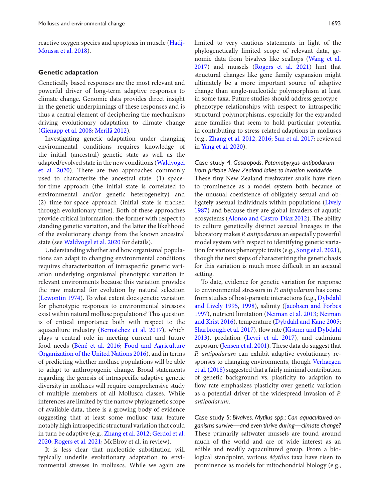[reactive oxygen species and apoptosis in muscle \(Hadj-](#page-9-12)Moussa et al. 2018).

#### **Genetic adaptation**

Genetically based responses are the most relevant and powerful driver of long-term adaptive responses to climate change. Genomic data provides direct insight in the genetic underpinnings of these responses and is thus a central element of deciphering the mechanisms driving evolutionary adaptation to climate change [\(Gienapp et al. 2008;](#page-9-13) [Merilä 2012\)](#page-9-14).

Investigating genetic adaptation under changing environmental conditions requires knowledge of the initial (ancestral) genetic state as well as the adapted/evolved state in the new conditions (Waldvogel [et al. 2020\). There are two approaches commonly](#page-10-2) used to characterize the ancestral state: (1) spacefor-time approach (the initial state is correlated to environmental and/or genetic heterogeneity) and (2) time-for-space approach (initial state is tracked through evolutionary time). Both of these approaches provide critical information: the former with respect to standing genetic variation, and the latter the likelihood of the evolutionary change from the known ancestral state (see [Waldvogel et al. 2020](#page-10-2) for details).

Understanding whether and how organismal populations can adapt to changing environmental conditions requires characterization of intraspecific genetic variation underlying organismal phenotypic variation in relevant environments because this variation provides the raw material for evolution by natural selection [\(Lewontin 1974\)](#page-9-15). To what extent does genetic variation for phenotypic responses to environmental stressors exist within natural mollusc populations? This question is of critical importance both with respect to the aquaculture industry [\(Bernatchez et al. 2017\)](#page-8-13), which plays a central role in meeting current and future food needs [\(Béné et al. 2016;](#page-8-14) Food and Agriculture [Organization of the United Nations 2016\), and in terms](#page-9-16) of predicting whether mollusc populations will be able to adapt to anthropogenic change. Broad statements regarding the genesis of intraspecific adaptive genetic diversity in molluscs will require comprehensive study of multiple members of all Mollusca classes. While inferences are limited by the narrow phylogenetic scope of available data, there is a growing body of evidence suggesting that at least some mollusc taxa feature notably high intraspecific structural variation that could in turn be adaptive (e.g., [Zhang et al. 2012;](#page-10-10) Gerdol et al. 2020; [Rogers et al. 2021; McElroy et al. in review\).](#page-9-17)

It is less clear that nucleotide substitution will typically underlie evolutionary adaptation to environmental stresses in molluscs. While we again are

limited to very cautious statements in light of the phylogenetically limited scope of relevant data, genomic data from bivalves like scallops (Wang et al. [2017\) and mussels \(Rogers et al. 2021\) hint that](#page-10-20) structural changes like gene family expansion might ultimately be a more important source of adaptive change than single-nucleotide polymorphism at least in some taxa. Future studies should address genotype– phenotype relationships with respect to intraspecific structural polymorphisms, especially for the expanded gene families that seem to hold particular potential in contributing to stress-related adaptions in molluscs (e.g., [Zhang et al. 2012,](#page-10-10) [2016;](#page-10-9) [Sun et al. 2017;](#page-10-21) reviewed in [Yang et al. 2020\)](#page-10-3).

#### Case study 4: *Gastropods. Potamopyrgus antipodarum from pristine New Zealand lakes to invasion worldwide*

These tiny New Zealand freshwater snails have risen to prominence as a model system both because of the unusual coexistence of obligately sexual and obligately asexual individuals within populations (Lively [1987\) and because they are global invaders of aquatic](#page-9-18) ecosystems [\(Alonso and Castro-Díaz 2012\)](#page-8-15). The ability to culture genetically distinct asexual lineages in the laboratory makes *P. antipodarum* an especially powerful model system with respect to identifying genetic variation for various phenotypic traits (e.g., [Song et al. 2021\)](#page-10-22), though the next steps of characterizing the genetic basis for this variation is much more difficult in an asexual setting.

To date, evidence for genetic variation for response to environmental stressors in *P. antipodarum* has come [from studies of host-parasite interactions \(e.g.,](#page-8-16) Dybdahl and Lively 1995, [1998\)](#page-8-17), salinity (Jacobsen and Forbes [1997\), nutrient limitation \(Neiman et al. 2013;](#page-9-19) Neiman [and Krist 2016\), temperature \(Dybdahl and Kane 2005;](#page-9-21) [Sharbrough et al. 2017\)](#page-10-23), flow rate (Kistner and Dybdahl [2013\), predation \(Levri et al. 2017\), and cadmium](#page-9-22) exposure [\(Jensen et al. 2001\)](#page-9-24). These data do suggest that *P. antipodarum* can exhibit adaptive evolutionary responses to changing environments, though Verhaegen et al. (2018) suggested that a fairly minimal contribution of genetic background vs. plasticity to adaption to flow rate emphasizes plasticity over genetic variation as a potential driver of the widespread invasion of *P. antipodarum.*

Case study 5: *Bivalves. Mytilus spp.: Can aquacultured organisms survive—and even thrive during—climate change?* These primarily saltwater mussels are found around much of the world and are of wide interest as an edible and readily aquacultured group. From a biological standpoint, various *Mytilus* taxa have risen to prominence as models for mitochondrial biology (e.g.,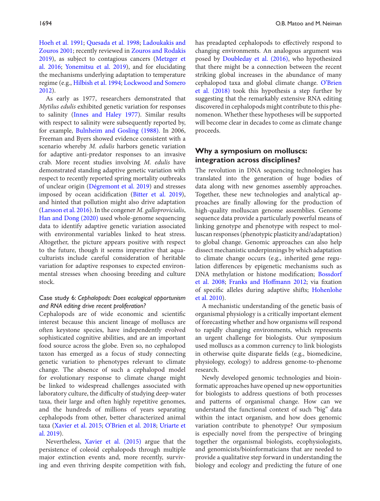[Hoeh et al. 1991;](#page-9-25) [Quesada et al. 1998;](#page-10-25) Ladoukakis and [Zouros 2001; recently reviewed in](#page-9-26) Zouros and Rodakis [2019\), as subject to contagious cancers \(Metzger et](#page-10-26) al. 2016; [Yonemitsu et al. 2019\)](#page-10-27), and for elucidating the mechanisms underlying adaptation to temperature regime (e.g., [Hilbish et al. 1994;](#page-9-28) [Lockwood and Somero](#page-9-29) 2012).

As early as 1977, researchers demonstrated that *Mytilus edulis* exhibited genetic variation for responses to salinity [\(Innes and Haley 1977\)](#page-9-30). Similar results with respect to salinity were subsequently reported by, for example, [Bulnheim and Gosling \(1988\).](#page-8-19) In 2006, Freeman and Byers showed evidence consistent with a scenario whereby *M. edulis* harbors genetic variation for adaptive anti-predator responses to an invasive crab. More recent studies involving *M. edulis* have demonstrated standing adaptive genetic variation with respect to recently reported spring mortality outbreaks of unclear origin [\(Dégremont et al. 2019\)](#page-8-20) and stresses imposed by ocean acidification [\(Bitter et al. 2019\)](#page-8-21), and hinted that pollution might also drive adaptation [\(Larsson et al. 2016\)](#page-9-31). In the congener *M. galloprovicialis*, [Han and Dong \(2020\)](#page-9-32) used whole-genome sequencing data to identify adaptive genetic variation associated with environmental variables linked to heat stress. Altogether, the picture appears positive with respect to the future, though it seems imperative that aquaculturists include careful consideration of heritable variation for adaptive responses to expected environmental stresses when choosing breeding and culture stock.

#### Case study 6: *Cephalopods: Does ecological opportunism and RNA editing drive recent proliferation?*

Cephalopods are of wide economic and scientific interest because this ancient lineage of molluscs are often keystone species, have independently evolved sophisticated cognitive abilities, and are an important food source across the globe. Even so, no cephalopod taxon has emerged as a focus of study connecting genetic variation to phenotypes relevant to climate change. The absence of such a cephalopod model for evolutionary response to climate change might be linked to widespread challenges associated with laboratory culture, the difficulty of studying deep-water taxa, their large and often highly repetitive genomes, and the hundreds of millions of years separating cephalopods from other, better characterized animal [taxa \(](#page-10-30)[Xavier et al. 2015](#page-10-28)[;](#page-10-30) [O'Brien et al. 2018;](#page-10-29) Uriarte et al. 2019).

Nevertheless, [Xavier et al. \(2015\)](#page-10-28) argue that the persistence of coleoid cephalopods through multiple major extinction events and, more recently, surviving and even thriving despite competition with fish, has preadapted cephalopods to effectively respond to changing environments. An analogous argument was posed by [Doubleday et al. \(2016\),](#page-8-22) who hypothesized that there might be a connection between the recent striking global increases in the abundance of many [cephalopod taxa and global climate change.](#page-10-29) O'Brien et al. (2018) took this hypothesis a step further by suggesting that the remarkably extensive RNA editing discovered in cephalopods might contribute to this phenomenon. Whether these hypotheses will be supported will become clear in decades to come as climate change proceeds.

#### **Why a symposium on molluscs: integration across disciplines?**

The revolution in DNA sequencing technologies has translated into the generation of huge bodies of data along with new genomes assembly approaches. Together, these new technologies and analytical approaches are finally allowing for the production of high-quality molluscan genome assemblies. Genome sequence data provide a particularly powerful means of linking genotype and phenotype with respect to molluscan responses (phenotypic plasticity and/adaptation) to global change. Genomic approaches can also help dissect mechanistic underpinnings by which adaptation to climate change occurs (e.g., inherited gene regulation differences by epigenetic mechanisms such as [DNA methylation or histone modification;](#page-8-23) Bossdorf et al. 2008; [Franks and Hoffmann 2012;](#page-9-33) via fixation [of specific alleles during adaptive shifts;](#page-9-34) Hohenlohe et al. 2010).

A mechanistic understanding of the genetic basis of organismal physiology is a critically important element of forecasting whether and how organisms will respond to rapidly changing environments, which represents an urgent challenge for biologists. Our symposium used molluscs as a common currency to link biologists in otherwise quite disparate fields (e.g., biomedicine, physiology, ecology) to address genome-to-phenome research.

Newly developed genomic technologies and bioinformatic approaches have opened up new opportunities for biologists to address questions of both processes and patterns of organismal change. How can we understand the functional context of such "big" data within the intact organism, and how does genomic variation contribute to phenotype? Our symposium is especially novel from the perspective of bringing together the organismal biologists, ecophysiologists, and genomicists/bioinformaticians that are needed to provide a qualitative step forward in understanding the biology and ecology and predicting the future of one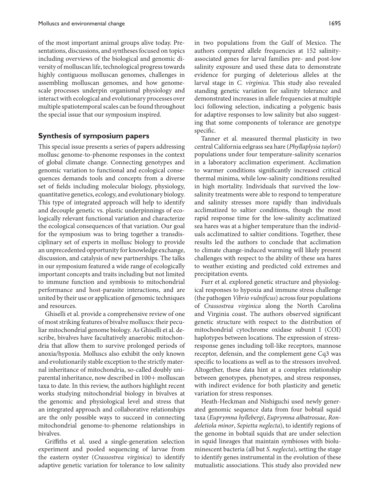of the most important animal groups alive today. Presentations, discussions, and syntheses focused on topics including overviews of the biological and genomic diversity of molluscan life, technological progress towards highly contiguous molluscan genomes, challenges in assembling molluscan genomes, and how genomescale processes underpin organismal physiology and interact with ecological and evolutionary processes over multiple spatiotemporal scales can be found throughout the special issue that our symposium inspired.

#### **Synthesis of symposium papers**

This special issue presents a series of papers addressing mollusc genome-to-phenome responses in the context of global climate change. Connecting genotypes and genomic variation to functional and ecological consequences demands tools and concepts from a diverse set of fields including molecular biology, physiology, quantitative genetics, ecology, and evolutionary biology. This type of integrated approach will help to identify and decouple genetic vs. plastic underpinnings of ecologically relevant functional variation and characterize the ecological consequences of that variation. Our goal for the symposium was to bring together a transdisciplinary set of experts in mollusc biology to provide an unprecedented opportunity for knowledge exchange, discussion, and catalysis of new partnerships. The talks in our symposium featured a wide range of ecologically important concepts and traits including but not limited to immune function and symbiosis to mitochondrial performance and host-parasite interactions, and are united by their use or application of genomic techniques and resources.

Ghiselli et al. provide a comprehensive review of one of most striking features of bivalve molluscs: their peculiar mitochondrial genome biology. As Ghiselli et al. describe, bivalves have facultatively anaerobic mitochondria that allow them to survive prolonged periods of anoxia/hypoxia. Molluscs also exhibit the only known and evolutionarily stable exception to the strictly maternal inheritance of mitochondria, so-called doubly uniparental inheritance, now described in 100+ molluscan taxa to date. In this review, the authors highlight recent works studying mitochondrial biology in bivalves at the genomic and physiological level and stress that an integrated approach and collaborative relationships are the only possible ways to succeed in connecting mitochondrial genome-to-phenome relationships in bivalves.

Griffiths et al. used a single-generation selection experiment and pooled sequencing of larvae from the eastern oyster (*Crassostrea virginica*) to identify adaptive genetic variation for tolerance to low salinity

in two populations from the Gulf of Mexico. The authors compared allele frequencies at 152 salinityassociated genes for larval families pre- and post-low salinity exposure and used these data to demonstrate evidence for purging of deleterious alleles at the larval stage in *C. virginica.* This study also revealed standing genetic variation for salinity tolerance and demonstrated increases in allele frequencies at multiple loci following selection, indicating a polygenic basis for adaptive responses to low salinity but also suggesting that some components of tolerance are genotype specific.

Tanner et al. measured thermal plasticity in two central California eelgrass sea hare (*Phyllaplysia taylori*) populations under four temperature-salinity scenarios in a laboratory acclimation experiment. Acclimation to warmer conditions significantly increased critical thermal minima, while low-salinity conditions resulted in high mortality. Individuals that survived the lowsalinity treatments were able to respond to temperature and salinity stresses more rapidly than individuals acclimatized to saltier conditions, though the most rapid response time for the low-salinity acclimatized sea hares was at a higher temperature than the individuals acclimatized to saltier conditions. Together, these results led the authors to conclude that acclimation to climate change-induced warming will likely present challenges with respect to the ability of these sea hares to weather existing and predicted cold extremes and precipitation events.

Furr et al. explored genetic structure and physiological responses to hypoxia and immune stress challenge (the pathogen *Vibrio vulnificus*) across four populations of *Crassostrea virginica* along the North Carolina and Virginia coast. The authors observed significant genetic structure with respect to the distribution of mitochondrial cytochrome oxidase subunit I (COI) haplotypes between locations. The expression of stressresponse genes including toll-like receptors, mannose receptor, defensin, and the complement gene Cq3 was specific to locations as well as to the stressors involved. Altogether, these data hint at a complex relationship between genotypes, phenotypes, and stress responses, with indirect evidence for both plasticity and genetic variation for stress responses.

Heath-Heckman and Nishiguchi used newly generated genomic sequence data from four bobtail squid taxa (*Euprymna hyllebergi*, *Euprymna albatrossae*, *Rondeletiola minor*, *Sepietta neglecta*), to identify regions of the genome in bobtail squids that are under selection in squid lineages that maintain symbioses with bioluminescent bacteria (all but *S. neglecta*), setting the stage to identify genes instrumental in the evolution of these mutualistic associations. This study also provided new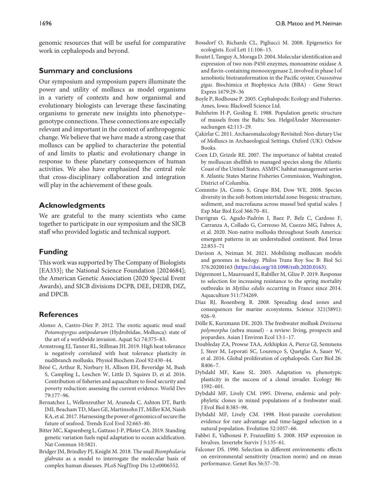genomic resources that will be useful for comparative work in cephalopods and beyond.

#### **Summary and conclusions**

Our symposium and symposium papers illuminate the power and utility of molluscs as model organisms in a variety of contexts and how organismal and evolutionary biologists can leverage these fascinating organisms to generate new insights into phenotype– genotype connections. These connections are especially relevant and important in the context of anthropogenic change. We believe that we have made a strong case that molluscs can be applied to characterize the potential of and limits to plastic and evolutionary change in response to these planetary consequences of human activities. We also have emphasized the central role that cross-disciplinary collaboration and integration will play in the achievement of these goals.

#### **Acknowledgments**

We are grateful to the many scientists who came together to participate in our symposium and the SICB staff who provided logistic and technical support.

#### **Funding**

This work was supported by The Company of Biologists [EA333]; the National Science Foundation [2024684]; the American Genetic Association (2020 Special Event Awards), and SICB divisions DCPB, DEE, DEDB, DIZ, and DPCB.

#### **References**

- <span id="page-8-15"></span>Alonso A, Castro-Díez P. 2012. The exotic aquatic mud snail *Potamopyrgus antipodarum* (Hydrobiidae, Mollusca): state of the art of a worldwide invasion. Aquat Sci 74:375–83.
- <span id="page-8-8"></span>Armstrong EJ, Tanner RL, Stillman JH. 2019. High heat tolerance is negatively correlated with heat tolerance plasticity in nudibranch mollusks. Physiol Biochem Zool 92:430–44.
- <span id="page-8-14"></span>Béné C, Arthur R, Norbury H, Allison EH, Beveridge M, Bush S, Campling L, Leschen W, Little D, Squires D, et al. 2016. Contribution of fisheries and aquaculture to food security and poverty reduction: assessing the current evidence. World Dev 79:177–96.
- <span id="page-8-13"></span>Bernatchez L, Wellenreuther M, Araneda C, Ashton DT, Barth JMI, Beacham TD, Maes GE, Martinsohn JT, Miller KM, Naish KA, et al. 2017. Harnessing the power of genomics of secure the future of seafood. Trends Ecol Evol 32:665–80.
- <span id="page-8-21"></span>Bitter MC, Kapsenberg L, Gattuso J-P, Pfister CA. 2019. Standing genetic variation fuels rapid adaptation to ocean acidification. Nat Commun 10:5821.
- <span id="page-8-5"></span>Bridger JM, Brindley PJ, Knight M. 2018. The snail *Biomphalaria glabrata* as a model to interrogate the molecular basis of complex human diseases. PLoS NeglTrop Dis 12:e0006552.
- <span id="page-8-23"></span>Bossdorf O, Richards CL, Pigliucci M. 2008. Epigenetics for ecologists. Ecol Lett 11:106–15.
- <span id="page-8-9"></span>Boutet I, Tanguy A, Moraga D. 2004. Molecular identification and expression of two non-P450 enzymes, monoamine oxidase A and flavin-containing monooxygenase 2, involved in phase I of xenobiotic biotransformation in the Pacific oyster, *Crassostrea gigas*. Biochimica et Biophysica Acta (BBA) - Gene Struct Expres 1679:29–36
- <span id="page-8-11"></span>Boyle P, Rodhouse P. 2005. Cephalopods: Ecology and Fisheries. Ames, Iowa: Blackwell Science Ltd.
- <span id="page-8-19"></span>Bulnheim H-P, Gosling E. 1988. Population genetic structure of mussels from the Baltic Sea. HelgolÃnder Meeresuntersuchungen 42:113–29.
- <span id="page-8-2"></span>Çakirlar C. 2011. Archaeomalacology Revisited: Non-dietary Use of Molluscs in Archaeological Settings. Oxford (UK): Oxbow Books.
- <span id="page-8-0"></span>Coen LD, Grizzle RE. 2007. The importance of habitat created by molluscan shellfish to managed species along the Atlantic Coast of the United States. ASMFC habitat management series 8. Atlantic States Marine Fisheries Commission, Washington, District of Columbia.
- <span id="page-8-1"></span>Commito JA, Como S, Grupe BM, Dow WE. 2008. Species diversity in the soft-bottom intertidal zone: biogenic structure, sediment, and macrofauna across mussel bed spatial scales. J Exp Mar Biol Ecol 366:70–81.
- <span id="page-8-3"></span>Darrigran G, Agudo-Padrón I, Baez P, Belz C, Cardoso F, Carranza A, Collado G, Correoso M, Cuezzo MG, Fabres A, et al. 2020. Non-native mollusks throughout South America: emergent patterns in an understudied continent. Biol Invas 22:853–71
- <span id="page-8-6"></span>Davison A, Neiman M. 2021. Mobilising molluscan models and genomes in biology. Philos Trans Roy Soc B: Biol Sci 376:20200163 [\(https://doi.org/10.1098/rstb.2020.0163\)](https://doi.org/10.1098/rstb.2020.0163).
- <span id="page-8-20"></span>Dégremont L, Maurouard E, Rabiller M, Glize P. 2019. Response to selection for increasing resistance to the spring mortality outbreaks in *Mytilus edulis* occurring in France since 2014. Aquaculture 511:734269.
- <span id="page-8-12"></span>Diaz RJ, Rosenberg R. 2008. Spreading dead zones and consequences for marine ecosystems. Science 321(5891): 926–9.
- <span id="page-8-4"></span>Dölle K, Kurzmann DE. 2020. The freshwater mollusk *Dreissena polymorpha* (zebra mussel) - a review: living, prospects and jeopardies. Asian J Environ Ecol 13:1–17.
- <span id="page-8-22"></span>Doubleday ZA, Prowse TAA, Arkhipkin A, Pierce GJ, Semmens J, Steer M, Leporati SC, Lourenço S, Quetglas A, Sauer W, et al. 2016. Global proliferation of cephalopods. Curr Biol 26: R406–7.
- <span id="page-8-18"></span>Dybdahl MF, Kane SL. 2005. Adaptation vs. phenotypic plasticity in the success of a clonal invader. Ecology 86: 1592–601.
- <span id="page-8-16"></span>Dybdahl MF, Lively CM. 1995. Diverse, endemic and polyphyletic clones in mixed populations of a freshwater snail. J Evol Biol 8:385–98.
- <span id="page-8-17"></span>Dybdahl MF, Lively CM. 1998. Host-parasite coevolution: evidence for rare advantage and time-lagged selection in a natural population. Evolution 52:1057–66.
- <span id="page-8-10"></span>Fabbri E, Valbonesi P, Franzellitti S. 2008. HSP expression in bivalves. Invertebr Surviv J 5:135–61.
- <span id="page-8-7"></span>Falconer DS. 1990. Selection in different environments: effects on environmental sensitivity (reaction norm) and on mean performance. Genet Res 56:57–70.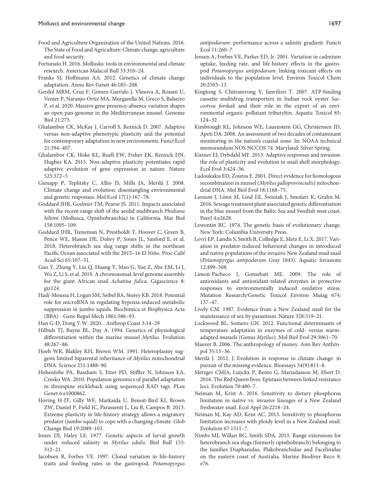- <span id="page-9-16"></span>Food and Agriculture Organization of the United Nations. 2016. The State of Food and Agriculture: Climate change, agriculture and food security.
- <span id="page-9-0"></span>Fortunato H. 2016. Mollusks: tools in environmental and climate research. American Malacol Bull 33:310–24.
- <span id="page-9-33"></span>Franks SJ, Hoffmann AA. 2012. Genetics of climate change adaptation. Annu Rev Genet 46:185–208.
- <span id="page-9-17"></span>Gerdol MRM, Cruz F, Gómez-Garrido J, Vlasova A, Rosani U, Venier P, Naranjo-Ortiz MA, Murgarella M, Greco S, Balseiro P, et al. 2020. Massive gene presence-absence variation shapes an open pan-genome in the Mediterranean mussel. Genome Biol 21:275.
- <span id="page-9-4"></span>Ghalambor CK, McKay J, Carroll S, Reznick D. 2007. Adaptive versus non-adaptive phenotypic plasticity and the potential for contemporary adaptation in new environments. Funct Ecol 21:394–407.
- <span id="page-9-5"></span>Ghalambor CK, Hoke KL, Ruell EW, Fisher EK, Reznick DN, Hughes KA. 2015. Non-adaptive plasticity potentiates rapid adaptive evolution of gene expression in nature. Nature 525:372–5
- <span id="page-9-13"></span>Gienapp P, Teplitsky C, Alho JS, Mills JA, Merilä J. 2008. Climate change and evolution: disentangling environmental and genetic responses. Mol Ecol 17(1):167–78.
- <span id="page-9-6"></span>Goddard JHR, Gosliner TM, Pearse JS. 2011. Impacts associated with the recent range shift of the aeolid nudibranch *Phidiana hiltoni* (Mollusca, Opisthobranchia) in California. Mar Biol 158:1095–109.
- <span id="page-9-7"></span>Goddard JHR, Treneman N, Prestholdt T, Hoover C, Green B, Pence WE, Mason DE, Dobry P, Sones JL, Sanford E, et al. 2018. Heterobranch sea slug range shifts in the northeast Pacific Ocean associated with the 2015–16 El Niño. Proc Calif Acad Sci 65:107–31.
- <span id="page-9-2"></span>Guo Y, Zhang Y, Liu Q, Huang Y, Mao G, Yue Z, Abe EM, Li J, Wu Z, Li S, et al. 2019. A chromosomal-level genome assembly for the giant African snail *Achatina fulica*. Gigascience 8: giz124.
- <span id="page-9-12"></span>Hadj-Moussa H, Logan SM, Seibel BA, Storey KB. 2018. Potential role for microRNA in regulating hypoxia-induced metabolic suppression in jumbo squids. Biochimica et Biophysica Acta (BBA) - Gene Regul Mech 1861:586–93.
- <span id="page-9-32"></span>Han G-D, Dong Y-W. 2020. . Anthrop Coast 3:14–29
- <span id="page-9-28"></span>Hilbish TJ, Bayne BL, Day A. 1994. Genetics of physiological differentiation within the marine mussel *Mytilus*. Evolution 48:267–86.
- <span id="page-9-25"></span>Hoeh WR, Blakley KH, Brown WM. 1991. Heteroplasmy suggests limited biparental inheritance of *Mytilus* mitochondrial DNA. Science 251:1488–90.
- <span id="page-9-34"></span>Hohenlohe PA, Bassham S, Etter PD, Stiffler N, Johnson EA, Cresko WA. 2010. Population genomics of parallel adaptation in threespine stickleback using sequenced RAD tags. PLos Genet 6:e1000862.
- <span id="page-9-11"></span>Hoving H-JT, Gilly WF, Markaida U, Benoit-Bird KJ, Brown ZW, Daniel P, Field JC, Parassenti L, Liu B, Campos B. 2013. Extreme plasticity in life-history strategy allows a migratory predator (jumbo squid) to cope with a changing climate. Glob Change Biol 19:2089–103.
- <span id="page-9-30"></span>Innes DJ, Haley LE. 1977. Genetic aspects of larval growth under reduced salinity in *Mytilus edulis*. Biol Bull 153: 312–21.
- <span id="page-9-19"></span>Jacobsen R, Forbes VE. 1997. Clonal variation in life-history traits and feeding rates in the gastropod, *Potamopyrgus*

*antipodarum*: performance across a salinity gradient. Functi Ecol 11:260–7.

- <span id="page-9-24"></span>Jensen A, Forbes VE, Parker ED, Jr. 2001. Variation in cadmium uptake, feeding rate, and life-history effects in the gastropod *Potamopyrgus antipodarum*: linking toxicant effects on individuals to the population level. Environ Toxicol Chem 20:2503–13.
- <span id="page-9-9"></span>Kingtong S, Chitramvong Y, Janvilisri T. 2007. ATP-binding cassette multidrug transporters in Indian rock oyster *Saccostrea forskali* and their role in the export of an environmental organic pollutant tributyltin. Aquatic Toxicol 85: 124–32
- <span id="page-9-3"></span>Kimbrough KL, Johnson WE, Lauenstein GG, Christensen JD, Apeti DA. 2008. An assessment of two decades of contaminant monitoring in the nation's coastal zone. In: NOAA technical memorandum NOS NCCOS 74. Maryland: Silver Spring.
- <span id="page-9-22"></span>Kistner EJ, Dybdahl MF. 2013. Adaptive responses and invasion: the role of plasticity and evolution in snail shell morphology. Ecol Evol 3:424–36.
- <span id="page-9-26"></span>Ladoukakis ED, Zouros E. 2001. Direct evidence for homologous recombination in mussel (*Mytilus galloprovincialis*) mitochondrial DNA. Mol Biol Evol 18:1168–75.
- <span id="page-9-31"></span>Larsson J, Lönn M, Lind EE, Świeżak J, Smolarz K, Grahn M. 2016. Sewage treatment plant associated genetic differentiation in the blue mussel from the Baltic Sea and Swedish west coast. PeerJ 4:e2628.
- <span id="page-9-15"></span>Lewontin RC. 1974. The genetic basis of evolutionary change. New York: Columbia University Press.
- <span id="page-9-23"></span>Levri EP, Landis S, Smith B, Colledge E, Metz E, Li X. 2017. Variation in predator-induced behavioral changes in introduced and native populations of the invasive New Zealand mud snail (*Potamopyrgus antipodarum Gray* 1843). Aquatic Invasions 12:499–508.
- <span id="page-9-10"></span>Limon-Pacheco J, Gonsebatt ME. 2009. The role of antioxidants and antioxidant-related enzymes in protective responses to environmentally induced oxidative stress. Mutation Research/Genetic Toxicol Environ Mutag 674: 137–47.
- <span id="page-9-18"></span>Lively CM. 1987. Evidence from a New Zealand snail for the maintenance of sex by parasitism. Nature 328:519–21.
- <span id="page-9-29"></span>Lockwood BL, Somero GN. 2012. Functional determinants of temperature adaptation in enzymes of cold- versus warmadapted mussels (Genus *Mytilus*). Mol Biol Evol 29:3061–70.
- <span id="page-9-1"></span>Maurer B. 2006. The anthropology of money. Ann Rev Anthropol 35:15–36.
- <span id="page-9-14"></span>Merilä J. 2012. J. Evolution in response to climate change: in pursuit of the missing evidence. Bioessays 34(9):811–8.
- <span id="page-9-27"></span>Metzger CMJA, Luijckx P, Bento G, Mariadassou M, Ebert D. 2016. The Red Queen lives: Epistasis between linked resistance loci. Evolution 70:480–7.
- <span id="page-9-21"></span>Neiman M, Krist A. 2016. Sensitivity to dietary phosphorus limitation in native vs. invasive lineages of a New Zealand freshwater snail. Ecol Appl 26:2218–24.
- <span id="page-9-20"></span>Neiman M, Kay AD, Krist AC. 2013. Sensitivity to phosphorus limitation increases with ploidy level in a New Zealand snail. Evolution 67:1511–7.
- <span id="page-9-8"></span>Nimbs MJ, Willan RC, Smith SDA. 2015. Range extensions for heterobranch sea slugs (formerly opisthobranch) belonging to the families Diaphanidae, Plakobranchidae and Facelinidae on the eastern coast of Australia. Marine Biodiver Reco 8: e76.